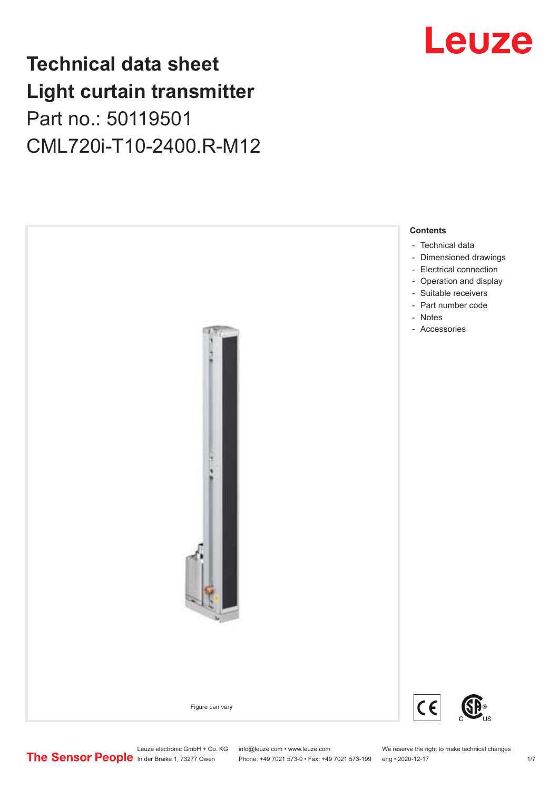## **Technical data sheet Light curtain transmitter** Part no.: 50119501 CML720i-T10-2400.R-M12



## Leuze

Phone: +49 7021 573-0 • Fax: +49 7021 573-199 eng • 2020-12-17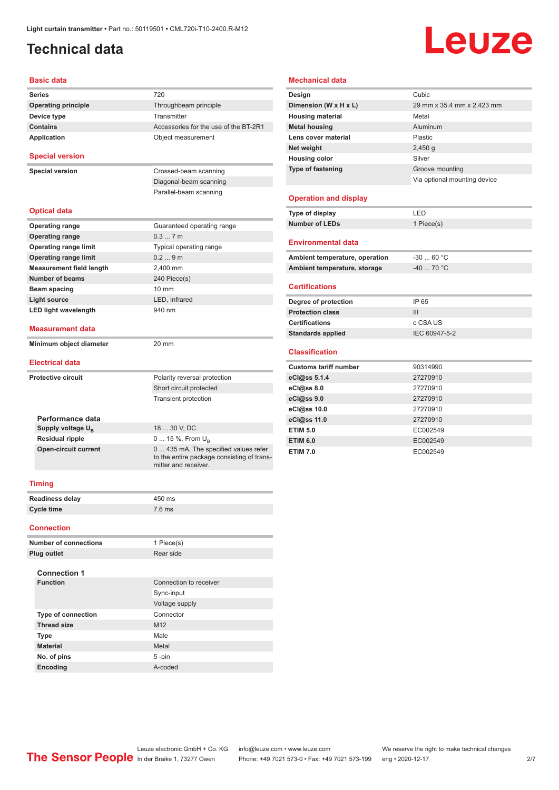### <span id="page-1-0"></span>**Technical data**

# Leuze

#### **Basic data**

| Series                                                | 720                                                                |
|-------------------------------------------------------|--------------------------------------------------------------------|
| <b>Operating principle</b>                            | Throughbeam principle                                              |
| Device type                                           | Transmitter                                                        |
| <b>Contains</b>                                       | Accessories for the use of the BT-2R1                              |
| <b>Application</b>                                    | Object measurement                                                 |
| <b>Special version</b>                                |                                                                    |
| <b>Special version</b>                                | Crossed-beam scanning                                              |
|                                                       | Diagonal-beam scanning                                             |
|                                                       | Parallel-beam scanning                                             |
| <b>Optical data</b>                                   |                                                                    |
| <b>Operating range</b>                                | Guaranteed operating range                                         |
| <b>Operating range</b>                                | 0.37m                                                              |
| <b>Operating range limit</b>                          | Typical operating range                                            |
| <b>Operating range limit</b>                          | 0.29m                                                              |
| <b>Measurement field length</b>                       | 2,400 mm                                                           |
| <b>Number of beams</b>                                | 240 Piece(s)                                                       |
| Beam spacing                                          | $10 \text{ mm}$                                                    |
| <b>Light source</b>                                   | LED, Infrared                                                      |
| <b>LED light wavelength</b>                           | 940 nm                                                             |
| <b>Measurement data</b>                               |                                                                    |
| Minimum object diameter                               | 20 mm                                                              |
| <b>Electrical data</b>                                |                                                                    |
| <b>Protective circuit</b>                             | Polarity reversal protection                                       |
|                                                       | Short circuit protected                                            |
|                                                       | <b>Transient protection</b>                                        |
|                                                       |                                                                    |
| Performance data                                      |                                                                    |
| Supply voltage U <sub>B</sub>                         | 18  30 V, DC                                                       |
| <b>Residual ripple</b><br><b>Open-circuit current</b> | $0 15 \%$ , From $U_{p}$<br>0  435 mA, The specified values refer  |
|                                                       | to the entire package consisting of trans-<br>mitter and receiver. |
| <b>Timing</b>                                         |                                                                    |
| <b>Readiness delay</b>                                | 450 ms                                                             |
| <b>Cycle time</b>                                     | $7.6$ ms                                                           |
| <b>Connection</b>                                     |                                                                    |
| <b>Number of connections</b>                          | 1 Piece(s)                                                         |
|                                                       |                                                                    |

#### **Mechanical data Design Cubic**

| Dimension (W x H x L)          | 29 mm x 35.4 mm x 2,423 mm   |
|--------------------------------|------------------------------|
| <b>Housing material</b>        | Metal                        |
| <b>Metal housing</b>           | Aluminum                     |
| Lens cover material            | Plastic                      |
| Net weight                     | 2,450q                       |
| <b>Housing color</b>           | Silver                       |
| <b>Type of fastening</b>       | Groove mounting              |
|                                | Via optional mounting device |
|                                |                              |
| <b>Operation and display</b>   |                              |
| Type of display                | LED                          |
| <b>Number of LEDs</b>          | 1 Piece(s)                   |
|                                |                              |
| <b>Environmental data</b>      |                              |
| Ambient temperature, operation | $-3060 °C$                   |
| Ambient temperature, storage   | -40  70 °C                   |
|                                |                              |
| <b>Certifications</b>          |                              |
| Degree of protection           | IP 65                        |
| <b>Protection class</b>        | III                          |
| <b>Certifications</b>          | c CSA US                     |
| <b>Standards applied</b>       | IEC 60947-5-2                |
|                                |                              |
| <b>Classification</b>          |                              |
| <b>Customs tariff number</b>   | 90314990                     |
| eCl@ss 5.1.4                   | 27270910                     |
| eCl@ss 8.0                     | 27270910                     |
| eCl@ss 9.0                     | 27270910                     |
| eCl@ss 10.0                    | 27270910                     |
| eCl@ss 11.0                    | 27270910                     |
| <b>ETIM 5.0</b>                | EC002549                     |
| <b>ETIM 6.0</b>                | EC002549                     |
| <b>ETIM 7.0</b>                | EC002549                     |

| <b>Readiness delay</b> | 450 ms |
|------------------------|--------|
| Cycle time             | 7.6 ms |

| <b>Number of connections</b> | 1 Piece(s)             |
|------------------------------|------------------------|
| Plug outlet                  | Rear side              |
| <b>Connection 1</b>          |                        |
| <b>Function</b>              | Connection to receiver |
|                              | Sync-input             |
|                              | Voltage supply         |
| <b>Type of connection</b>    | Connector              |
| <b>Thread size</b>           | M <sub>12</sub>        |
| <b>Type</b>                  | Male                   |
| <b>Material</b>              | Metal                  |
| No. of pins                  | 5-pin                  |
| <b>Encoding</b>              | A-coded                |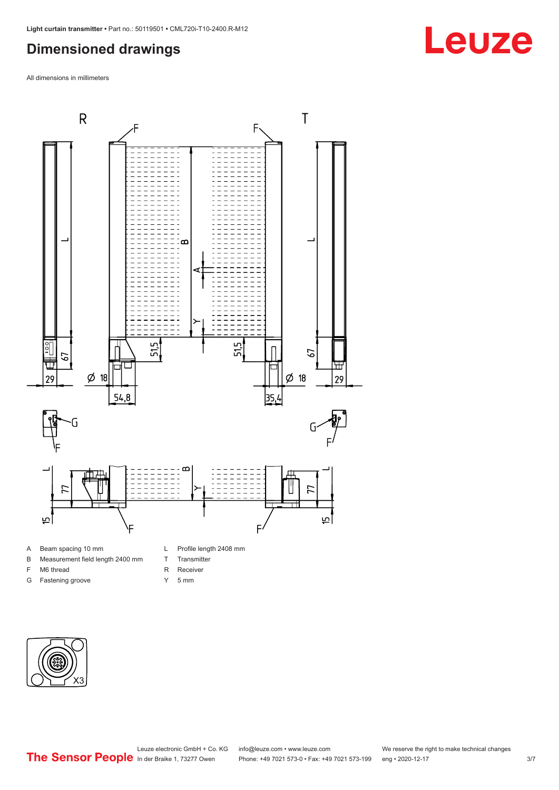#### <span id="page-2-0"></span>**Dimensioned drawings**

All dimensions in millimeters



#### A Beam spacing 10 mm

- B Measurement field length 2400 mm
- F M6 thread
- G Fastening groove
- L Profile length 2408 mm
- T Transmitter
- R Receiver
- Y 5 mm



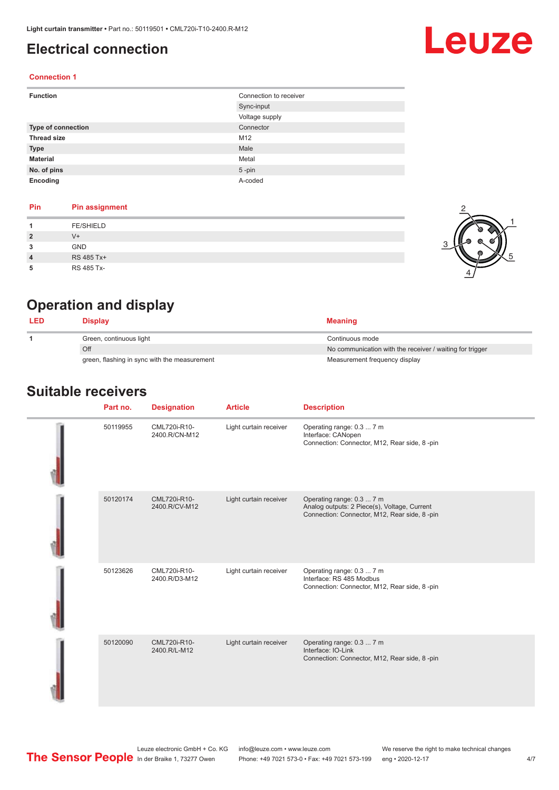### <span id="page-3-0"></span>**Electrical connection**

# Leuze

2

 $\frac{1}{2}$ 

 $\alpha$ 

1

5

#### **Connection 1**

| <b>Function</b>           | Connection to receiver |
|---------------------------|------------------------|
|                           | Sync-input             |
|                           | Voltage supply         |
| <b>Type of connection</b> | Connector              |
| <b>Thread size</b>        | M12                    |
| <b>Type</b>               | Male                   |
| <b>Material</b>           | Metal                  |
| No. of pins               | $5$ -pin               |
| Encoding                  | A-coded                |

#### **Pin Pin assignment**

|                | <b>FE/SHIELD</b> |  |
|----------------|------------------|--|
| -2             | $V +$            |  |
| 3              | <b>GND</b>       |  |
| $\overline{4}$ | RS 485 Tx+       |  |
|                | RS 485 Tx-       |  |

### **Operation and display**

| <b>LED</b> | Display                                      | <b>Meaning</b>                                           |
|------------|----------------------------------------------|----------------------------------------------------------|
|            | Green, continuous light                      | Continuous mode                                          |
|            | Off                                          | No communication with the receiver / waiting for trigger |
|            | green, flashing in sync with the measurement | Measurement frequency display                            |

#### **Suitable receivers**

| Part no. | <b>Designation</b>            | <b>Article</b>         | <b>Description</b>                                                                                                        |
|----------|-------------------------------|------------------------|---------------------------------------------------------------------------------------------------------------------------|
| 50119955 | CML720i-R10-<br>2400.R/CN-M12 | Light curtain receiver | Operating range: 0.3  7 m<br>Interface: CANopen<br>Connection: Connector, M12, Rear side, 8-pin                           |
| 50120174 | CML720i-R10-<br>2400.R/CV-M12 | Light curtain receiver | Operating range: 0.3  7 m<br>Analog outputs: 2 Piece(s), Voltage, Current<br>Connection: Connector, M12, Rear side, 8-pin |
| 50123626 | CML720i-R10-<br>2400.R/D3-M12 | Light curtain receiver | Operating range: 0.3  7 m<br>Interface: RS 485 Modbus<br>Connection: Connector, M12, Rear side, 8-pin                     |
| 50120090 | CML720i-R10-<br>2400.R/L-M12  | Light curtain receiver | Operating range: 0.3  7 m<br>Interface: IO-Link<br>Connection: Connector, M12, Rear side, 8-pin                           |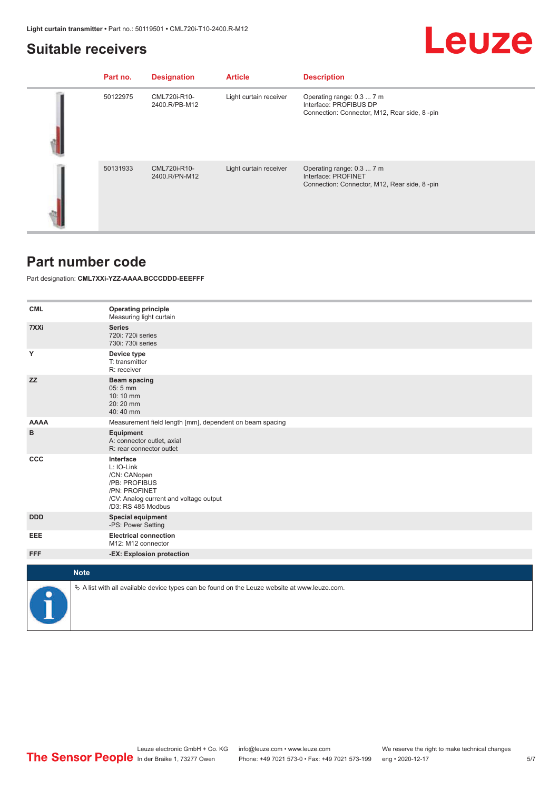#### <span id="page-4-0"></span>**Suitable receivers**

## **Leuze**

| Part no. | <b>Designation</b>            | <b>Article</b>         | <b>Description</b>                                                                                  |
|----------|-------------------------------|------------------------|-----------------------------------------------------------------------------------------------------|
| 50122975 | CML720i-R10-<br>2400.R/PB-M12 | Light curtain receiver | Operating range: 0.3  7 m<br>Interface: PROFIBUS DP<br>Connection: Connector, M12, Rear side, 8-pin |
| 50131933 | CML720i-R10-<br>2400.R/PN-M12 | Light curtain receiver | Operating range: 0.3  7 m<br>Interface: PROFINET<br>Connection: Connector, M12, Rear side, 8-pin    |

#### **Part number code**

Part designation: **CML7XXi-YZZ-AAAA.BCCCDDD-EEEFFF**

| <b>CML</b>  | <b>Operating principle</b><br>Measuring light curtain                                                                                     |
|-------------|-------------------------------------------------------------------------------------------------------------------------------------------|
| 7XXi        | <b>Series</b><br>720i: 720i series<br>730i: 730i series                                                                                   |
| Υ           | Device type<br>T: transmitter<br>R: receiver                                                                                              |
| <b>ZZ</b>   | Beam spacing<br>05:5 mm<br>10:10 mm<br>20:20 mm<br>40:40 mm                                                                               |
| <b>AAAA</b> | Measurement field length [mm], dependent on beam spacing                                                                                  |
| в           | Equipment<br>A: connector outlet, axial<br>R: rear connector outlet                                                                       |
| <b>CCC</b>  | Interface<br>L: IO-Link<br>/CN: CANopen<br>/PB: PROFIBUS<br>/PN: PROFINET<br>/CV: Analog current and voltage output<br>/D3: RS 485 Modbus |
| <b>DDD</b>  | <b>Special equipment</b><br>-PS: Power Setting                                                                                            |
| EEE         | <b>Electrical connection</b><br>M12: M12 connector                                                                                        |
| <b>FFF</b>  | -EX: Explosion protection                                                                                                                 |
|             |                                                                                                                                           |
|             | <b>Note</b>                                                                                                                               |
|             | $\&$ A list with all available device types can be found on the Leuze website at www.leuze.com.                                           |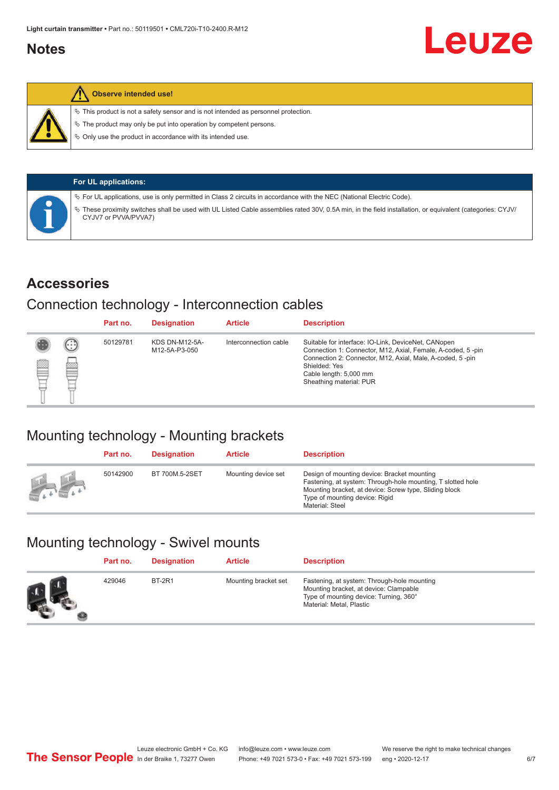#### <span id="page-5-0"></span>**Notes**



#### **Observe intended use!**

 $\%$  This product is not a safety sensor and is not intended as personnel protection.

 $\%$  The product may only be put into operation by competent persons.

 $\%$  Only use the product in accordance with its intended use.

|  | <b>For UL applications:</b>                                                                                                                                                       |
|--|-----------------------------------------------------------------------------------------------------------------------------------------------------------------------------------|
|  | $\%$ For UL applications, use is only permitted in Class 2 circuits in accordance with the NEC (National Electric Code).                                                          |
|  | V These proximity switches shall be used with UL Listed Cable assemblies rated 30V, 0.5A min, in the field installation, or equivalent (categories: CYJV/<br>CYJV7 or PVVA/PVVA7) |

#### **Accessories**

#### Connection technology - Interconnection cables

|   |        | Part no. | <b>Designation</b>                     | <b>Article</b>        | <b>Description</b>                                                                                                                                                                                                                                    |
|---|--------|----------|----------------------------------------|-----------------------|-------------------------------------------------------------------------------------------------------------------------------------------------------------------------------------------------------------------------------------------------------|
| Ø | ⊙<br>œ | 50129781 | <b>KDS DN-M12-5A-</b><br>M12-5A-P3-050 | Interconnection cable | Suitable for interface: IO-Link, DeviceNet, CANopen<br>Connection 1: Connector, M12, Axial, Female, A-coded, 5-pin<br>Connection 2: Connector, M12, Axial, Male, A-coded, 5-pin<br>Shielded: Yes<br>Cable length: 5,000 mm<br>Sheathing material: PUR |

### Mounting technology - Mounting brackets

|               | Part no. | <b>Designation</b> | <b>Article</b>      | <b>Description</b>                                                                                                                                                                                                        |
|---------------|----------|--------------------|---------------------|---------------------------------------------------------------------------------------------------------------------------------------------------------------------------------------------------------------------------|
| <b>Altres</b> | 50142900 | BT 700M.5-2SET     | Mounting device set | Design of mounting device: Bracket mounting<br>Fastening, at system: Through-hole mounting, T slotted hole<br>Mounting bracket, at device: Screw type, Sliding block<br>Type of mounting device: Rigid<br>Material: Steel |

### Mounting technology - Swivel mounts

| Part no. | <b>Designation</b> | <b>Article</b>       | <b>Description</b>                                                                                                                                          |
|----------|--------------------|----------------------|-------------------------------------------------------------------------------------------------------------------------------------------------------------|
| 429046   | <b>BT-2R1</b>      | Mounting bracket set | Fastening, at system: Through-hole mounting<br>Mounting bracket, at device: Clampable<br>Type of mounting device: Turning, 360°<br>Material: Metal, Plastic |

Leuze